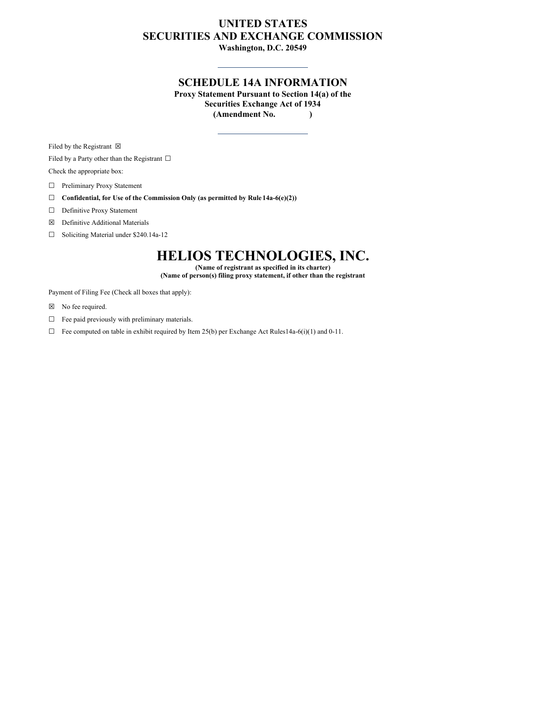## **UNITED STATES SECURITIES AND EXCHANGE COMMISSION**

**Washington, D.C. 20549**

## **SCHEDULE 14A INFORMATION**

**Proxy Statement Pursuant to Section 14(a) of the Securities Exchange Act of 1934 (Amendment No. )**

Filed by the Registrant  $\boxtimes$ 

Filed by a Party other than the Registrant  $\Box$ Check the appropriate box:

☐ Preliminary Proxy Statement

☐ **Confidential, for Use of the Commission Only (as permitted by Rule 14a-6(e)(2))**

□ Definitive Proxy Statement

☒ Definitive Additional Materials

☐ Soliciting Material under \$240.14a-12

# **HELIOS TECHNOLOGIES, INC.**

**(Name of registrant as specified in its charter)**

**(Name of person(s) filing proxy statement, if other than the registrant**

Payment of Filing Fee (Check all boxes that apply):

☒ No fee required.

 $\Box$  Fee paid previously with preliminary materials.

 $\Box$  Fee computed on table in exhibit required by Item 25(b) per Exchange Act Rules14a-6(i)(1) and 0-11.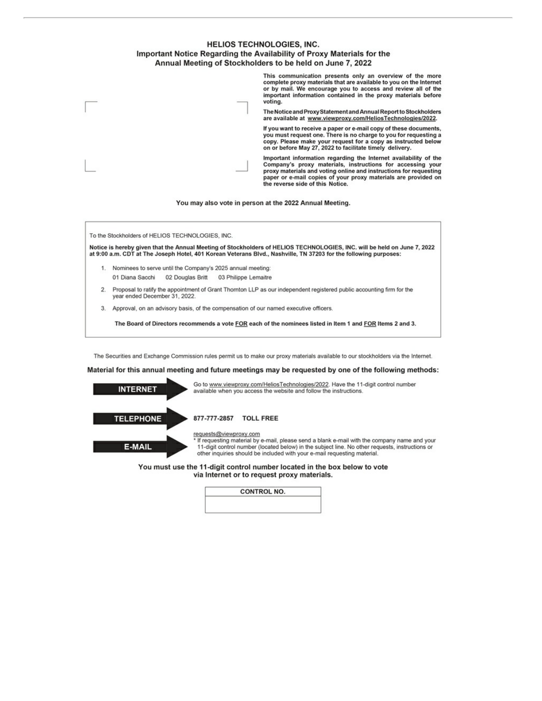

This communication presents only an overview of the more complete proxy materials that are available to you on the Internet or by mail. We encourage you to access and review all of the important information contained in the proxy materials before voting.

The Notice and Proxy Statement and Annual Report to Stockholders are available at www.viewproxy.com/HeliosTechnologies/2022.

If you want to receive a paper or e-mail copy of these documents, you must request one. There is no charge to you for requesting a copy. Please make your request for a copy as instructed below on or before May 27, 2022 to facilitate timely delivery.

Important information regarding the Internet availability of the Company's proxy materials, instructions for accessing your<br>proxy materials and voting online and instructions for requesting paper or e-mail copies of your proxy materials are provided on the reverse side of this Notice.

You may also vote in person at the 2022 Annual Meeting.

To the Stockholders of HELIOS TECHNOLOGIES, INC.

Notice is hereby given that the Annual Meeting of Stockholders of HELIOS TECHNOLOGIES, INC. will be held on June 7, 2022 at 9:00 a.m. CDT at The Joseph Hotel, 401 Korean Veterans Blvd., Nashville, TN 37203 for the following purposes:

- 1. Nominees to serve until the Company's 2025 annual meeting: 01 Diana Sacchi 02 Douglas Britt 03 Philippe Lemaitre
- Proposal to ratify the appointment of Grant Thornton LLP as our independent registered public accounting firm for the  $2.$ year ended December 31, 2022.
- 3. Approval, on an advisory basis, of the compensation of our named executive officers.

The Board of Directors recommends a vote FOR each of the nominees listed in Item 1 and FOR Items 2 and 3.

The Securities and Exchange Commission rules permit us to make our proxy materials available to our stockholders via the Internet.

Material for this annual meeting and future meetings may be requested by one of the following methods:



via Internet or to request proxy materials.